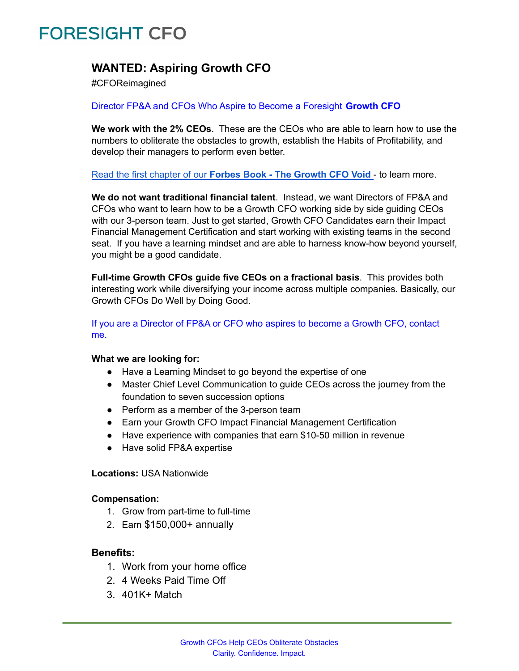# **FORESIGHT CFO**

### **WANTED: Aspiring Growth CFO**

#CFOReimagined

#### Director FP&A and CFOs Who Aspire to Become a Foresight **Growth CFO**

**We work with the 2% CEOs**. These are the CEOs who are able to learn how to use the numbers to obliterate the obstacles to growth, establish the Habits of Profitability, and develop their managers to perform even better.

Read the first chapter of our **Forbes Book - The [Growth](https://drive.google.com/file/d/140WK6p7r35ioXon9GtpX3T_wWZJlpjMZ/view?usp=sharing) CFO Void** - to learn more.

**We do not want traditional financial talent**. Instead, we want Directors of FP&A and CFOs who want to learn how to be a Growth CFO working side by side guiding CEOs with our 3-person team. Just to get started, Growth CFO Candidates earn their Impact Financial Management Certification and start working with existing teams in the second seat. If you have a learning mindset and are able to harness know-how beyond yourself, you might be a good candidate.

**Full-time Growth CFOs guide five CEOs on a fractional basis**. This provides both interesting work while diversifying your income across multiple companies. Basically, our Growth CFOs Do Well by Doing Good.

If you are a Director of FP&A or CFO who aspires to become a Growth CFO, contact me.

#### **What we are looking for:**

- Have a Learning Mindset to go beyond the expertise of one
- Master Chief Level Communication to guide CEOs across the journey from the foundation to seven succession options
- Perform as a member of the 3-person team
- Earn your Growth CFO Impact Financial Management Certification
- Have experience with companies that earn \$10-50 million in revenue
- Have solid FP&A expertise

#### **Locations:** USA Nationwide

#### **Compensation:**

- 1. Grow from part-time to full-time
- 2. Earn \$150,000+ annually

#### **Benefits:**

- 1. Work from your home office
- 2. 4 Weeks Paid Time Off
- 3. 401K+ Match